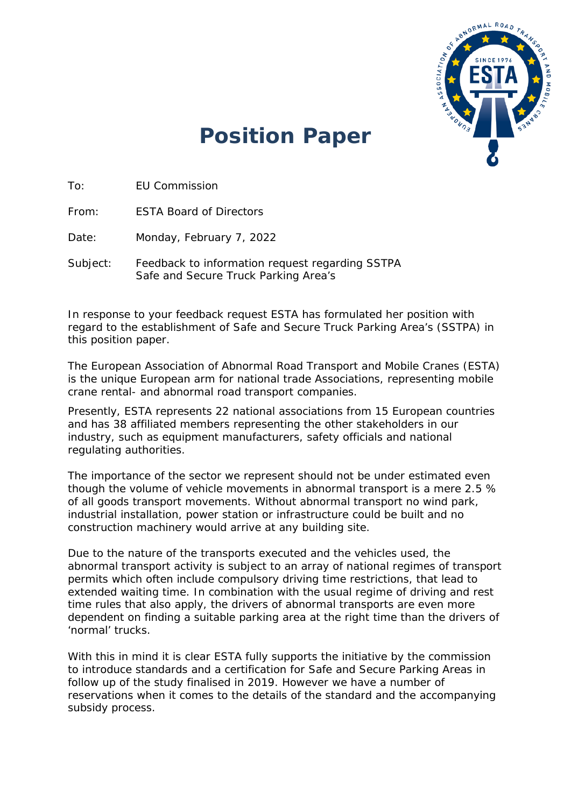

## **Position Paper**

To: EU Commission

From: ESTA Board of Directors

Date: Monday, February 7, 2022

Subject: Feedback to information request regarding SSTPA Safe and Secure Truck Parking Area's

In response to your feedback request ESTA has formulated her position with regard to the establishment of Safe and Secure Truck Parking Area's (SSTPA) in this position paper.

The European Association of Abnormal Road Transport and Mobile Cranes (ESTA) is the unique European arm for national trade Associations, representing mobile crane rental- and abnormal road transport companies.

Presently, ESTA represents 22 national associations from 15 European countries and has 38 affiliated members representing the other stakeholders in our industry, such as equipment manufacturers, safety officials and national regulating authorities.

The importance of the sector we represent should not be under estimated even though the volume of vehicle movements in abnormal transport is a mere 2.5 % of all goods transport movements. Without abnormal transport no wind park, industrial installation, power station or infrastructure could be built and no construction machinery would arrive at any building site.

Due to the nature of the transports executed and the vehicles used, the abnormal transport activity is subject to an array of national regimes of transport permits which often include compulsory driving time restrictions, that lead to extended waiting time. In combination with the usual regime of driving and rest time rules that also apply, the drivers of abnormal transports are even more dependent on finding a suitable parking area at the right time than the drivers of 'normal' trucks.

With this in mind it is clear ESTA fully supports the initiative by the commission to introduce standards and a certification for Safe and Secure Parking Areas in follow up of the study finalised in 2019. However we have a number of reservations when it comes to the details of the standard and the accompanying subsidy process.